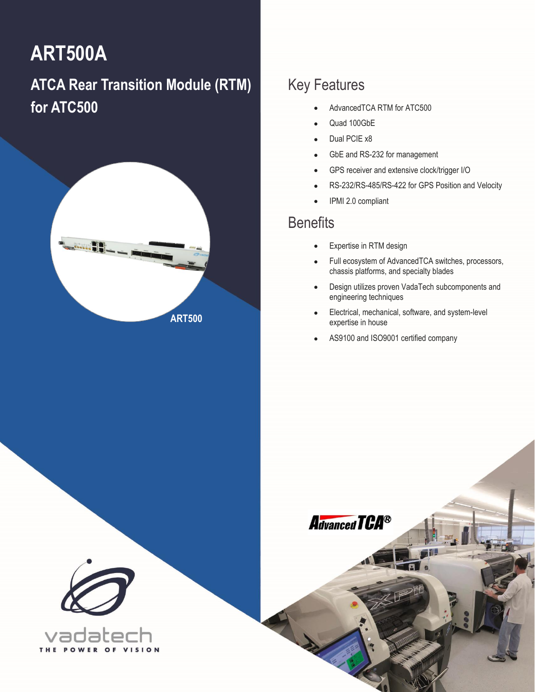# **ART500A**

# **ATCA Rear Transition Module (RTM) for ATC500**



### Key Features

- AdvancedTCA RTM for ATC500
- Quad 100GbE
- Dual PCIE x8
- GbE and RS-232 for management
- GPS receiver and extensive clock/trigger I/O
- RS-232/RS-485/RS-422 for GPS Position and Velocity
- IPMI 2.0 compliant

### **Benefits**

- Expertise in RTM design
- Full ecosystem of AdvancedTCA switches, processors, chassis platforms, and specialty blades
- Design utilizes proven VadaTech subcomponents and engineering techniques
- Electrical, mechanical, software, and system-level expertise in house
- AS9100 and ISO9001 certified company



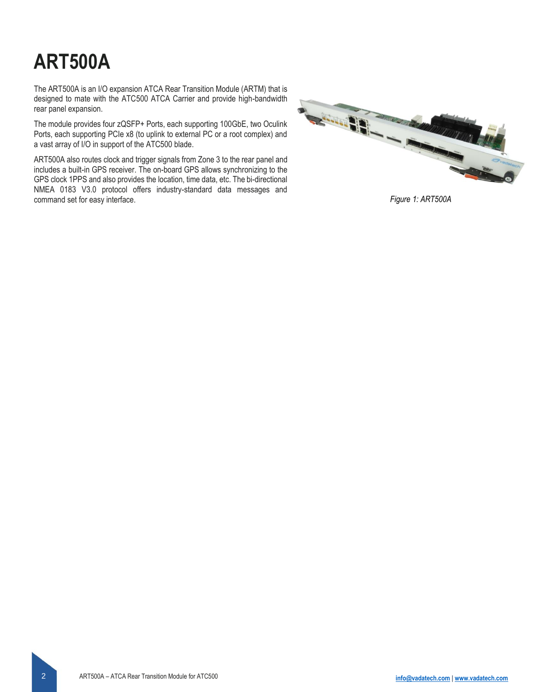# **ART500A**

The ART500A is an I/O expansion ATCA Rear Transition Module (ARTM) that is designed to mate with the ATC500 ATCA Carrier and provide high-bandwidth rear panel expansion.

The module provides four zQSFP+ Ports, each supporting 100GbE, two Oculink Ports, each supporting PCIe x8 (to uplink to external PC or a root complex) and a vast array of I/O in support of the ATC500 blade.

ART500A also routes clock and trigger signals from Zone 3 to the rear panel and includes a built-in GPS receiver. The on-board GPS allows synchronizing to the GPS clock 1PPS and also provides the location, time data, etc. The bi-directional NMEA 0183 V3.0 protocol offers industry-standard data messages and command set for easy interface. *Figure 1: ART500A*

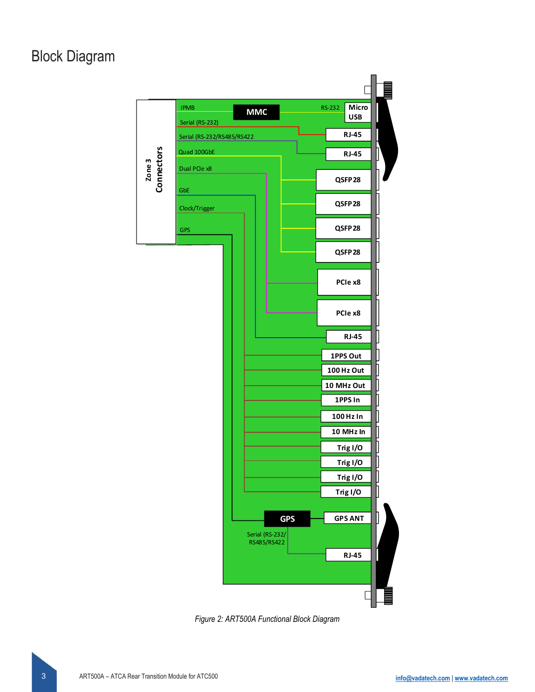### Block Diagram



*Figure 2: ART500A Functional Block Diagram*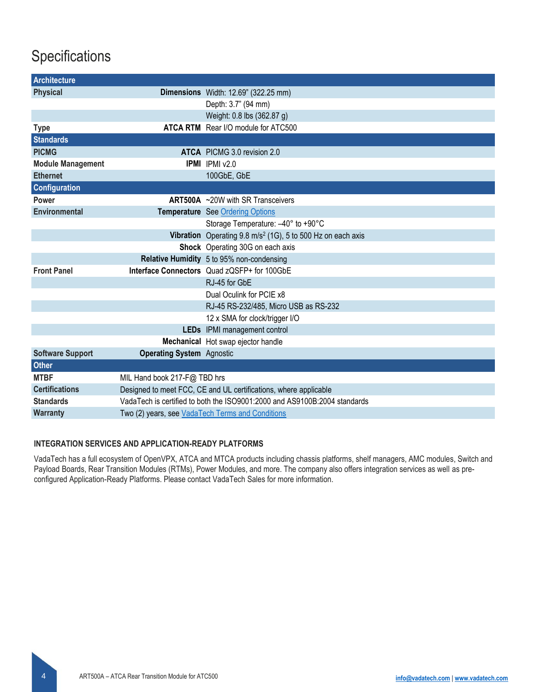### **Specifications**

| <b>Architecture</b>      |                                                                           |                                                                         |
|--------------------------|---------------------------------------------------------------------------|-------------------------------------------------------------------------|
| <b>Physical</b>          |                                                                           | Dimensions Width: 12.69" (322.25 mm)                                    |
|                          |                                                                           | Depth: 3.7" (94 mm)                                                     |
|                          |                                                                           | Weight: 0.8 lbs (362.87 g)                                              |
| <b>Type</b>              |                                                                           | ATCA RTM Rear I/O module for ATC500                                     |
| <b>Standards</b>         |                                                                           |                                                                         |
| <b>PICMG</b>             |                                                                           | <b>ATCA</b> PICMG 3.0 revision 2.0                                      |
| <b>Module Management</b> |                                                                           | <b>IPMI</b> IPMI v2.0                                                   |
| <b>Ethernet</b>          |                                                                           | 100GbE, GbE                                                             |
| <b>Configuration</b>     |                                                                           |                                                                         |
| Power                    |                                                                           | ART500A ~20W with SR Transceivers                                       |
| <b>Environmental</b>     |                                                                           | Temperature See Ordering Options                                        |
|                          |                                                                           | Storage Temperature: -40° to +90°C                                      |
|                          |                                                                           | Vibration Operating 9.8 m/s <sup>2</sup> (1G), 5 to 500 Hz on each axis |
|                          |                                                                           | Shock Operating 30G on each axis                                        |
|                          |                                                                           | Relative Humidity 5 to 95% non-condensing                               |
| <b>Front Panel</b>       |                                                                           | Interface Connectors Quad zQSFP+ for 100GbE                             |
|                          |                                                                           | RJ-45 for GbE                                                           |
|                          |                                                                           | Dual Oculink for PCIE x8                                                |
|                          |                                                                           | RJ-45 RS-232/485, Micro USB as RS-232                                   |
|                          |                                                                           | 12 x SMA for clock/trigger I/O                                          |
|                          |                                                                           | LEDs IPMI management control                                            |
|                          |                                                                           | Mechanical Hot swap ejector handle                                      |
| <b>Software Support</b>  | <b>Operating System Agnostic</b>                                          |                                                                         |
| <b>Other</b>             |                                                                           |                                                                         |
| <b>MTBF</b>              | MIL Hand book 217-F@ TBD hrs                                              |                                                                         |
| <b>Certifications</b>    | Designed to meet FCC, CE and UL certifications, where applicable          |                                                                         |
| <b>Standards</b>         | VadaTech is certified to both the ISO9001:2000 and AS9100B:2004 standards |                                                                         |
| <b>Warranty</b>          | Two (2) years, see VadaTech Terms and Conditions                          |                                                                         |

#### **INTEGRATION SERVICES AND APPLICATION-READY PLATFORMS**

VadaTech has a full ecosystem of OpenVPX, ATCA and MTCA products including chassis platforms, shelf managers, AMC modules, Switch and Payload Boards, Rear Transition Modules (RTMs), Power Modules, and more. The company also offers integration services as well as preconfigured Application-Ready Platforms. Please contact VadaTech Sales for more information.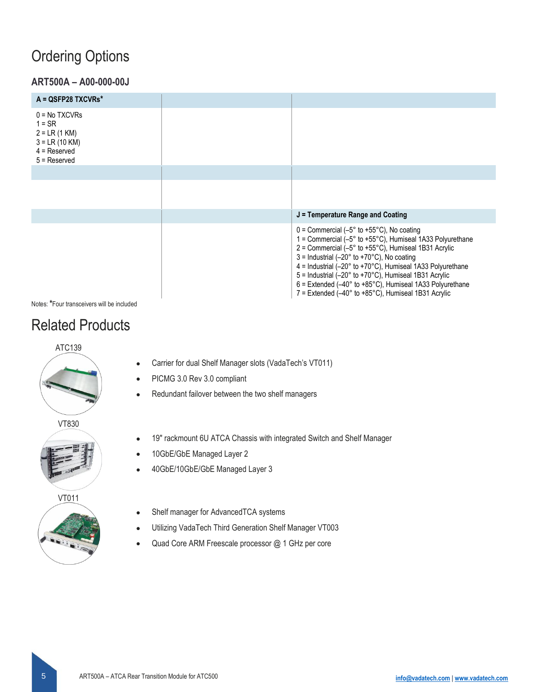### <span id="page-4-0"></span>Ordering Options

### **ART500A – A00-000-00J**

| $A = QSFP28$ TXCVRs*                                                                                   |                                                                                                                                                                                                                                                                                                                                                                                                                                                                                                                                                                                                           |
|--------------------------------------------------------------------------------------------------------|-----------------------------------------------------------------------------------------------------------------------------------------------------------------------------------------------------------------------------------------------------------------------------------------------------------------------------------------------------------------------------------------------------------------------------------------------------------------------------------------------------------------------------------------------------------------------------------------------------------|
| $0 = No$ TXCVRs<br>$1 = SR$<br>$2 = LR (1 KM)$<br>$3 = LR (10 KM)$<br>$4 =$ Reserved<br>$5$ = Reserved |                                                                                                                                                                                                                                                                                                                                                                                                                                                                                                                                                                                                           |
|                                                                                                        |                                                                                                                                                                                                                                                                                                                                                                                                                                                                                                                                                                                                           |
|                                                                                                        |                                                                                                                                                                                                                                                                                                                                                                                                                                                                                                                                                                                                           |
|                                                                                                        | $J =$ Temperature Range and Coating                                                                                                                                                                                                                                                                                                                                                                                                                                                                                                                                                                       |
|                                                                                                        | $0 =$ Commercial (-5 $\degree$ to +55 $\degree$ C), No coating<br>1 = Commercial $(-5^{\circ}$ to $+55^{\circ}$ C), Humiseal 1A33 Polyurethane<br>$2 =$ Commercial (-5 $\degree$ to +55 $\degree$ C), Humiseal 1B31 Acrylic<br>$3 =$ Industrial (-20 $\degree$ to +70 $\degree$ C), No coating<br>$4 =$ Industrial (-20 $\degree$ to +70 $\degree$ C), Humiseal 1A33 Polyurethane<br>5 = Industrial (-20° to +70°C), Humiseal 1B31 Acrylic<br>$6$ = Extended (-40 $\degree$ to +85 $\degree$ C), Humiseal 1A33 Polyurethane<br>$7$ = Extended (-40 $^{\circ}$ to +85 $^{\circ}$ C), Humiseal 1B31 Acrylic |

Notes: **\***Four transceivers will be included

### Related Products

### ATC139



VT830



VT011



- Carrier for dual Shelf Manager slots (VadaTech's VT011)
- PICMG 3.0 Rev 3.0 compliant
- Redundant failover between the two shelf managers
- 19" rackmount 6U ATCA Chassis with integrated Switch and Shelf Manager
- 10GbE/GbE Managed Layer 2
- 40GbE/10GbE/GbE Managed Layer 3
- Shelf manager for AdvancedTCA systems
- Utilizing VadaTech Third Generation Shelf Manager VT003
- Quad Core ARM Freescale processor @ 1 GHz per core